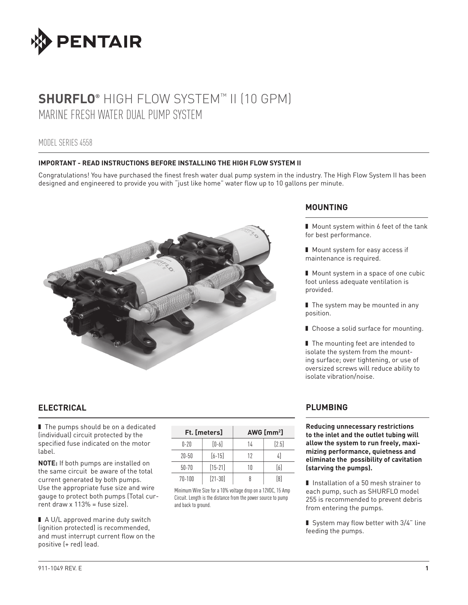

# **SHURFLO®** HIGH FLOW SYSTEM™ II (10 GPM) MARINE FRESH WATER DUAL PUMP SYSTEM

# MODEL SERIES 4558

## **IMPORTANT - READ INSTRUCTIONS BEFORE INSTALLING THE HIGH FLOW SYSTEM II**

Congratulations! You have purchased the finest fresh water dual pump system in the industry. The High Flow System II has been designed and engineered to provide you with "just like home" water flow up to 10 gallons per minute.



# **ELECTRICAL**

■ The pumps should be on a dedicated (individual) circuit protected by the specified fuse indicated on the motor label.

**NOTE:** If both pumps are installed on the same circuit be aware of the total current generated by both pumps. Use the appropriate fuse size and wire gauge to protect both pumps (Total current draw x 113% = fuse size).

■ A U/L approved marine duty switch (ignition protected) is recommended, and must interrupt current flow on the positive (+ red) lead.

| <b>Ft. [meters]</b> |             | AWG $\text{Im} \mathbf{m}^2$ |         |  |
|---------------------|-------------|------------------------------|---------|--|
| $0 - 20$            | $[0-6]$     | 14                           | $[2.5]$ |  |
| $20 - 50$           | $[6 - 15]$  | 12                           | 41      |  |
| $50 - 70$           | $[15 - 21]$ | 10                           | $[6]$   |  |
| $70 - 100$          | $[21 - 30]$ |                              | [8]     |  |

Minimum Wire Size for a 10% voltage drop on a 12VDC, 15 Amp Circuit. Length is the distance from the power source to pump and back to ground.

# **MOUNTING**

■ Mount system within 6 feet of the tank for best performance.

■ Mount system for easy access if maintenance is required.

■ Mount system in a space of one cubic foot unless adequate ventilation is provided.

■ The system may be mounted in any position.

■ Choose a solid surface for mounting.

■ The mounting feet are intended to isolate the system from the mounting surface; over tightening, or use of oversized screws will reduce ability to isolate vibration/noise.

# **PLUMBING**

**Reducing unnecessary restrictions to the inlet and the outlet tubing will allow the system to run freely, maximizing performance, quietness and eliminate the possibility of cavitation (starving the pumps).**

■ Installation of a 50 mesh strainer to each pump, such as SHURFLO model 255 is recommended to prevent debris from entering the pumps.

■ System may flow better with 3/4" line feeding the pumps.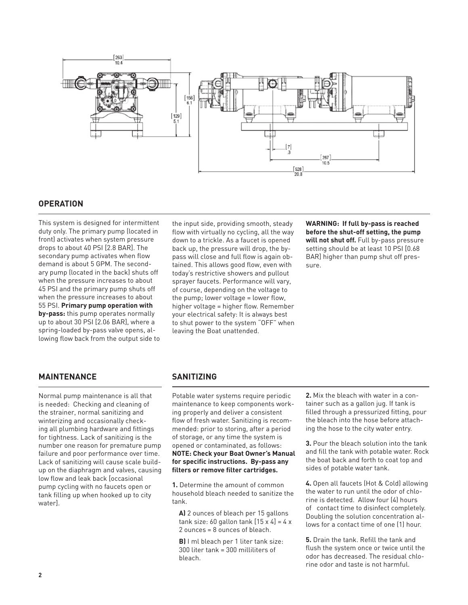

# **OPERATION**

This system is designed for intermittent duty only. The primary pump (located in front) activates when system pressure drops to about 40 PSI [2.8 BAR]. The secondary pump activates when flow demand is about 5 GPM. The secondary pump (located in the back) shuts off when the pressure increases to about 45 PSI and the primary pump shuts off when the pressure increases to about 55 PSI. **Primary pump operation with by-pass:** this pump operates normally up to about 30 PSI [2.06 BAR], where a spring-loaded by-pass valve opens, allowing flow back from the output side to the input side, providing smooth, steady flow with virtually no cycling, all the way down to a trickle. As a faucet is opened back up, the pressure will drop, the bypass will close and full flow is again obtained. This allows good flow, even with today's restrictive showers and pullout sprayer faucets. Performance will vary, of course, depending on the voltage to the pump; lower voltage = lower flow, higher voltage = higher flow. Remember your electrical safety: It is always best to shut power to the system "OFF" when leaving the Boat unattended.

**WARNING: If full by-pass is reached before the shut-off setting, the pump will not shut off.** Full by-pass pressure setting should be at least 10 PSI [0.68 BAR] higher than pump shut off pressure.

# **MAINTENANCE**

Normal pump maintenance is all that is needed: Checking and cleaning of the strainer, normal sanitizing and winterizing and occasionally checking all plumbing hardware and fittings for tightness. Lack of sanitizing is the number one reason for premature pump failure and poor performance over time. Lack of sanitizing will cause scale buildup on the diaphragm and valves, causing low flow and leak back [occasional pump cycling with no faucets open or tank filling up when hooked up to city water].

## **SANITIZING**

Potable water systems require periodic maintenance to keep components working properly and deliver a consistent flow of fresh water. Sanitizing is recommended: prior to storing, after a period of storage, or any time the system is opened or contaminated, as follows: **NOTE: Check your Boat Owner's Manual for specific instructions. By-pass any filters or remove filter cartridges.**

**1.** Determine the amount of common household bleach needed to sanitize the tank.

**A)** 2 ounces of bleach per 15 gallons tank size: 60 gallon tank  $[15 \times 4] = 4 \times$ 2 ounces = 8 ounces of bleach.

**B)** I ml bleach per 1 liter tank size: 300 liter tank = 300 milliliters of bleach.

**2.** Mix the bleach with water in a container such as a gallon jug. If tank is filled through a pressurized fitting, pour the bleach into the hose before attaching the hose to the city water entry.

**3.** Pour the bleach solution into the tank and fill the tank with potable water. Rock the boat back and forth to coat top and sides of potable water tank.

**4.** Open all faucets (Hot & Cold) allowing the water to run until the odor of chlorine is detected. Allow four (4) hours of contact time to disinfect completely. Doubling the solution concentration allows for a contact time of one (1) hour.

**5.** Drain the tank. Refill the tank and flush the system once or twice until the odor has decreased. The residual chlorine odor and taste is not harmful.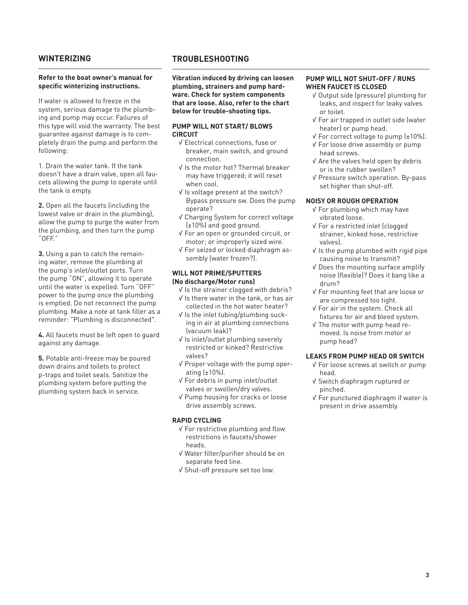## **WINTERIZING**

#### **Refer to the boat owner's manual for specific winterizing instructions.**

If water is allowed to freeze in the system, serious damage to the plumbing and pump may occur. Failures of this type will void the warranty. The best guarantee against damage is to completely drain the pump and perform the following:

1. Drain the water tank. If the tank doesn't have a drain valve, open all faucets allowing the pump to operate until the tank is empty.

**2.** Open all the faucets (including the lowest valve or drain in the plumbing), allow the pump to purge the water from the plumbing, and then turn the pump "OFF."

**3.** Using a pan to catch the remaining water, remove the plumbing at the pump's inlet/outlet ports. Turn the pump "ON", allowing it to operate until the water is expelled. Turn "OFF" power to the pump once the plumbing is emptied. Do not reconnect the pump plumbing. Make a note at tank filler as a reminder: "Plumbing is disconnected".

**4.** All faucets must be left open to guard against any damage.

**5.** Potable anti-freeze may be poured down drains and toilets to protect p-traps and toilet seals. Sanitize the plumbing system before putting the plumbing system back in service.

## **TROUBLESHOOTING**

**Vibration induced by driving can loosen plumbing, strainers and pump hardware. Check for system components that are loose. Also, refer to the chart below for trouble-shooting tips.** 

## **PUMP WILL NOT START/ BLOWS CIRCUIT**

- √ Electrical connections, fuse or breaker, main switch, and ground connection.
- √ Is the motor hot? Thermal breaker may have triggered; it will reset when cool.
- √ Is voltage present at the switch? Bypass pressure sw. Does the pump operate?
- √ Charging System for correct voltage (±10%) and good ground.
- √ For an open or grounded circuit, or motor; or improperly sized wire.
- √ For seized or locked diaphragm assembly (water frozen?).

#### **WILL NOT PRIME/SPUTTERS (No discharge/Motor runs)**

- √ Is the strainer clogged with debris?
- √ Is there water in the tank, or has air collected in the hot water heater?
- √ Is the inlet tubing/plumbing sucking in air at plumbing connections (vacuum leak)?
- √ Is inlet/outlet plumbing severely restricted or kinked? Restrictive valves?
- √ Proper voltage with the pump operating (±10%).
- √ For debris in pump inlet/outlet valves or swollen/dry valves.
- √ Pump housing for cracks or loose drive assembly screws.

## **RAPID CYCLING**

- √ For restrictive plumbing and flow restrictions in faucets/shower heads.
- √ Water filter/purifier should be on separate feed line.
- √ Shut-off pressure set too low.

## **PUMP WILL NOT SHUT-OFF / RUNS WHEN FAUCET IS CLOSED**

- √ Output side (pressure) plumbing for leaks, and inspect for leaky valves or toilet.
- √ For air trapped in outlet side (water heater) or pump head.
- √ For correct voltage to pump (±10%). √ For loose drive assembly or pump head screws.
- √ Are the valves held open by debris or is the rubber swollen?
- √ Pressure switch operation. By-pass set higher than shut-off.

## **NOISY OR ROUGH OPERATION**

- √ For plumbing which may have vibrated loose.
- √ For a restricted inlet (clogged strainer, kinked hose, restrictive valves).
- √ Is the pump plumbed with rigid pipe causing noise to transmit?
- √ Does the mounting surface amplify noise (flexible)? Does it bang like a drum?
- √ For mounting feet that are loose or are compressed too tight.
- √ For air in the system. Check all fixtures for air and bleed system.
- √ The motor with pump head removed. Is noise from motor or pump head?

## **LEAKS FROM PUMP HEAD OR SWITCH**

- √ For loose screws at switch or pump head.
- √ Switch diaphragm ruptured or pinched.
- √ For punctured diaphragm if water is present in drive assembly.